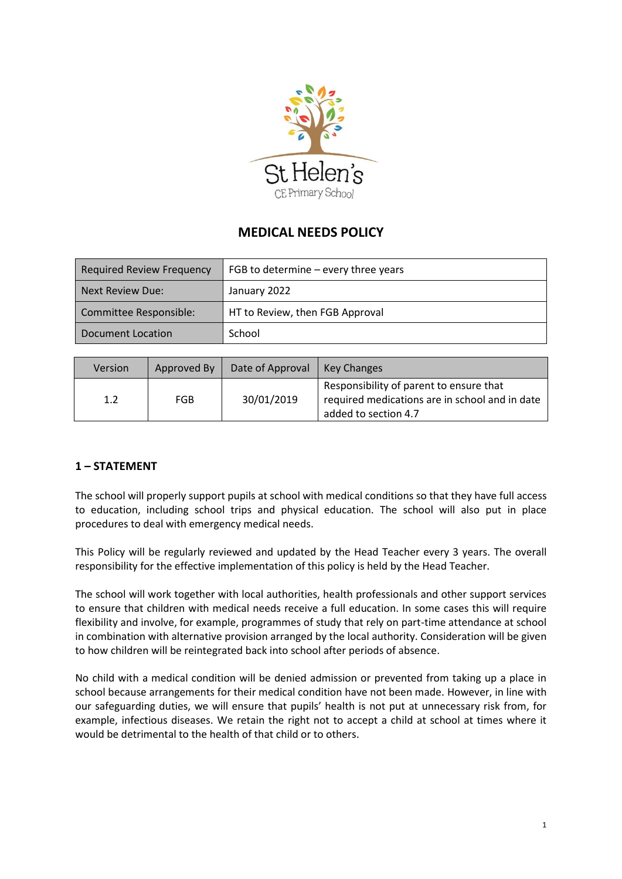

# **MEDICAL NEEDS POLICY**

| <b>Required Review Frequency</b> | FGB to determine $-$ every three years |  |
|----------------------------------|----------------------------------------|--|
| Next Review Due:                 | January 2022                           |  |
| Committee Responsible:           | HT to Review, then FGB Approval        |  |
| Document Location                | School                                 |  |

| Version | Approved By | Date of Approval | Key Changes                                                                                                       |
|---------|-------------|------------------|-------------------------------------------------------------------------------------------------------------------|
| 1.2     | <b>FGB</b>  | 30/01/2019       | Responsibility of parent to ensure that<br>required medications are in school and in date<br>added to section 4.7 |

# **1 – STATEMENT**

The school will properly support pupils at school with medical conditions so that they have full access to education, including school trips and physical education. The school will also put in place procedures to deal with emergency medical needs.

This Policy will be regularly reviewed and updated by the Head Teacher every 3 years. The overall responsibility for the effective implementation of this policy is held by the Head Teacher.

The school will work together with local authorities, health professionals and other support services to ensure that children with medical needs receive a full education. In some cases this will require flexibility and involve, for example, programmes of study that rely on part-time attendance at school in combination with alternative provision arranged by the local authority. Consideration will be given to how children will be reintegrated back into school after periods of absence.

No child with a medical condition will be denied admission or prevented from taking up a place in school because arrangements for their medical condition have not been made. However, in line with our safeguarding duties, we will ensure that pupils' health is not put at unnecessary risk from, for example, infectious diseases. We retain the right not to accept a child at school at times where it would be detrimental to the health of that child or to others.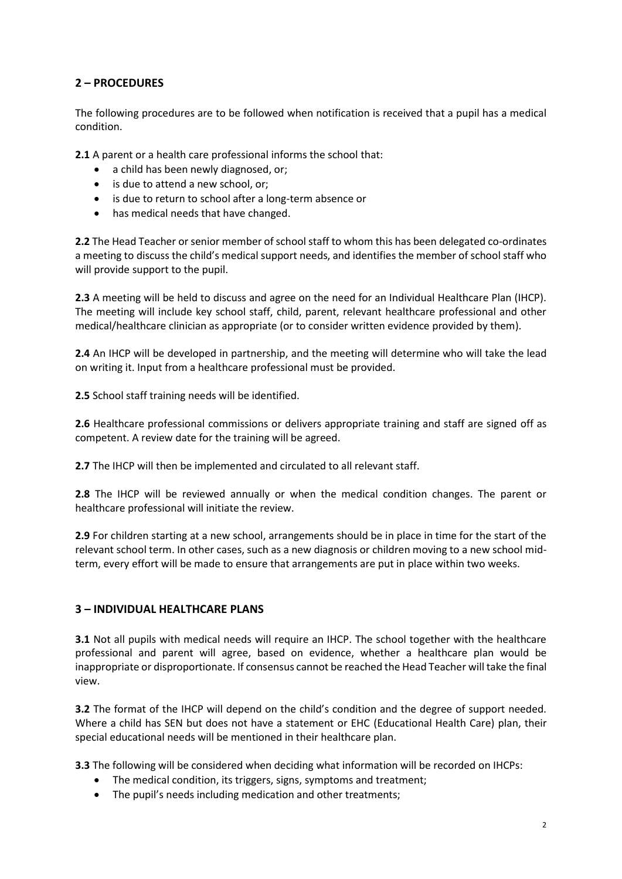# **2 – PROCEDURES**

The following procedures are to be followed when notification is received that a pupil has a medical condition.

**2.1** A parent or a health care professional informs the school that:

- a child has been newly diagnosed, or;
- is due to attend a new school, or;
- is due to return to school after a long-term absence or
- has medical needs that have changed.

**2.2** The Head Teacher or senior member of school staff to whom this has been delegated co-ordinates a meeting to discuss the child's medical support needs, and identifies the member of school staff who will provide support to the pupil.

**2.3** A meeting will be held to discuss and agree on the need for an Individual Healthcare Plan (IHCP). The meeting will include key school staff, child, parent, relevant healthcare professional and other medical/healthcare clinician as appropriate (or to consider written evidence provided by them).

**2.4** An IHCP will be developed in partnership, and the meeting will determine who will take the lead on writing it. Input from a healthcare professional must be provided.

**2.5** School staff training needs will be identified.

**2.6** Healthcare professional commissions or delivers appropriate training and staff are signed off as competent. A review date for the training will be agreed.

**2.7** The IHCP will then be implemented and circulated to all relevant staff.

**2.8** The IHCP will be reviewed annually or when the medical condition changes. The parent or healthcare professional will initiate the review.

**2.9** For children starting at a new school, arrangements should be in place in time for the start of the relevant school term. In other cases, such as a new diagnosis or children moving to a new school midterm, every effort will be made to ensure that arrangements are put in place within two weeks.

#### **3 – INDIVIDUAL HEALTHCARE PLANS**

**3.1** Not all pupils with medical needs will require an IHCP. The school together with the healthcare professional and parent will agree, based on evidence, whether a healthcare plan would be inappropriate or disproportionate. If consensus cannot be reached the Head Teacher will take the final view.

**3.2** The format of the IHCP will depend on the child's condition and the degree of support needed. Where a child has SEN but does not have a statement or EHC (Educational Health Care) plan, their special educational needs will be mentioned in their healthcare plan.

**3.3** The following will be considered when deciding what information will be recorded on IHCPs:

- The medical condition, its triggers, signs, symptoms and treatment;
- The pupil's needs including medication and other treatments;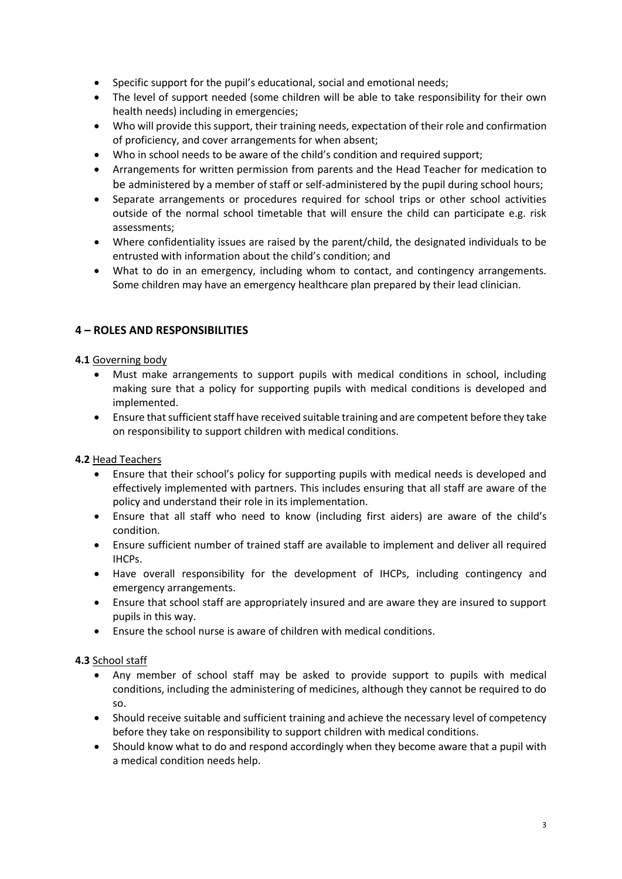- Specific support for the pupil's educational, social and emotional needs;
- The level of support needed (some children will be able to take responsibility for their own health needs) including in emergencies;
- Who will provide this support, their training needs, expectation of their role and confirmation of proficiency, and cover arrangements for when absent;
- Who in school needs to be aware of the child's condition and required support;
- Arrangements for written permission from parents and the Head Teacher for medication to be administered by a member of staff or self-administered by the pupil during school hours;
- Separate arrangements or procedures required for school trips or other school activities outside of the normal school timetable that will ensure the child can participate e.g. risk assessments;
- Where confidentiality issues are raised by the parent/child, the designated individuals to be entrusted with information about the child's condition; and
- What to do in an emergency, including whom to contact, and contingency arrangements. Some children may have an emergency healthcare plan prepared by their lead clinician.

# **4 – ROLES AND RESPONSIBILITIES**

## **4.1** Governing body

- Must make arrangements to support pupils with medical conditions in school, including making sure that a policy for supporting pupils with medical conditions is developed and implemented.
- Ensure that sufficient staff have received suitable training and are competent before they take on responsibility to support children with medical conditions.

## **4.2** Head Teachers

- Ensure that their school's policy for supporting pupils with medical needs is developed and effectively implemented with partners. This includes ensuring that all staff are aware of the policy and understand their role in its implementation.
- Ensure that all staff who need to know (including first aiders) are aware of the child's condition.
- Ensure sufficient number of trained staff are available to implement and deliver all required IHCPs.
- Have overall responsibility for the development of IHCPs, including contingency and emergency arrangements.
- Ensure that school staff are appropriately insured and are aware they are insured to support pupils in this way.
- Ensure the school nurse is aware of children with medical conditions.

#### **4.3** School staff

- Any member of school staff may be asked to provide support to pupils with medical conditions, including the administering of medicines, although they cannot be required to do so.
- Should receive suitable and sufficient training and achieve the necessary level of competency before they take on responsibility to support children with medical conditions.
- Should know what to do and respond accordingly when they become aware that a pupil with a medical condition needs help.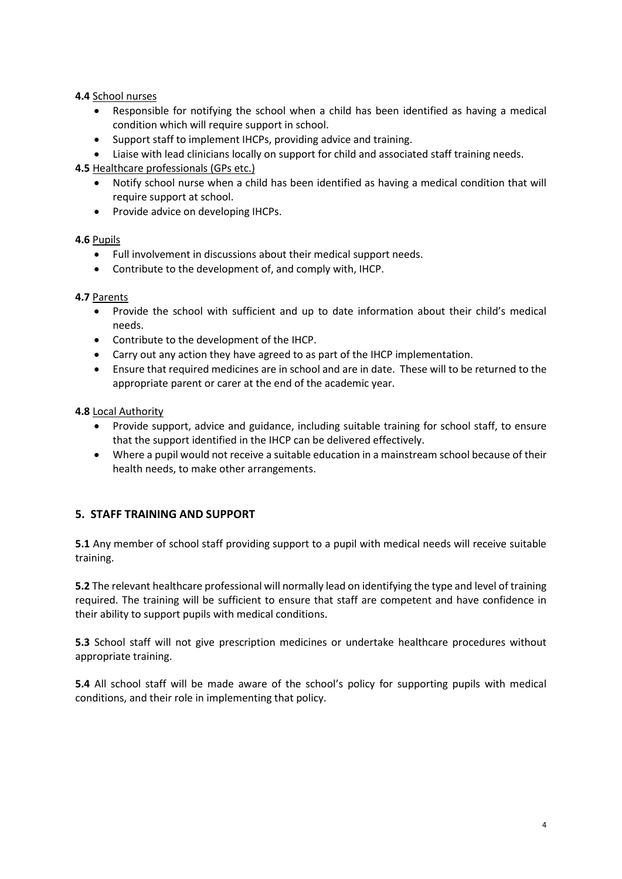#### **4.4** School nurses

- Responsible for notifying the school when a child has been identified as having a medical condition which will require support in school.
- Support staff to implement IHCPs, providing advice and training.
- Liaise with lead clinicians locally on support for child and associated staff training needs.

**4.5** Healthcare professionals (GPs etc.)

- Notify school nurse when a child has been identified as having a medical condition that will require support at school.
- Provide advice on developing IHCPs.

#### **4.6** Pupils

- Full involvement in discussions about their medical support needs.
- Contribute to the development of, and comply with, IHCP.

#### **4.7** Parents

- Provide the school with sufficient and up to date information about their child's medical needs.
- Contribute to the development of the IHCP.
- Carry out any action they have agreed to as part of the IHCP implementation.
- Ensure that required medicines are in school and are in date. These will to be returned to the appropriate parent or carer at the end of the academic year.

#### **4.8** Local Authority

- Provide support, advice and guidance, including suitable training for school staff, to ensure that the support identified in the IHCP can be delivered effectively.
- Where a pupil would not receive a suitable education in a mainstream school because of their health needs, to make other arrangements.

## **5. STAFF TRAINING AND SUPPORT**

**5.1** Any member of school staff providing support to a pupil with medical needs will receive suitable training.

**5.2** The relevant healthcare professional will normally lead on identifying the type and level of training required. The training will be sufficient to ensure that staff are competent and have confidence in their ability to support pupils with medical conditions.

**5.3** School staff will not give prescription medicines or undertake healthcare procedures without appropriate training.

**5.4** All school staff will be made aware of the school's policy for supporting pupils with medical conditions, and their role in implementing that policy.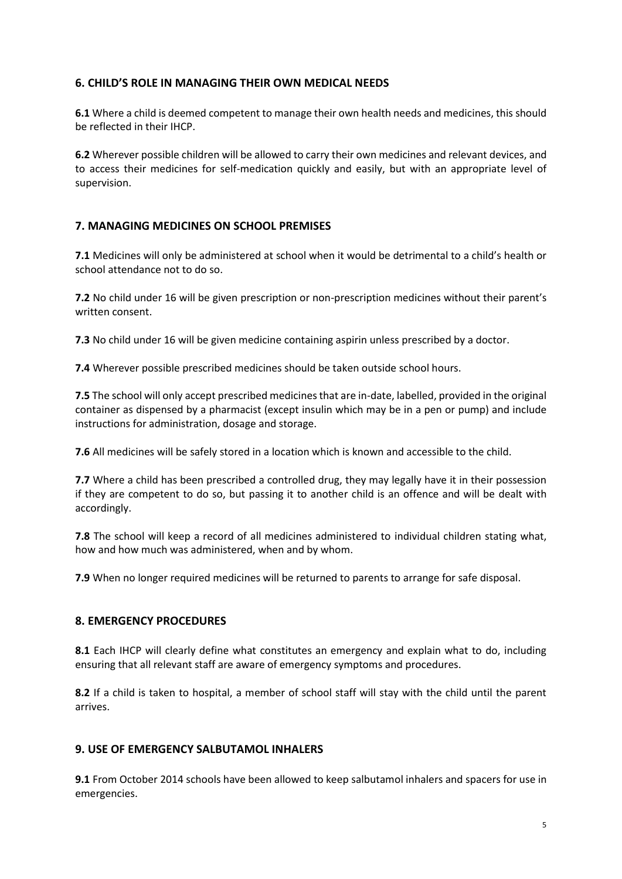## **6. CHILD'S ROLE IN MANAGING THEIR OWN MEDICAL NEEDS**

**6.1** Where a child is deemed competent to manage their own health needs and medicines, this should be reflected in their IHCP.

**6.2** Wherever possible children will be allowed to carry their own medicines and relevant devices, and to access their medicines for self-medication quickly and easily, but with an appropriate level of supervision.

# **7. MANAGING MEDICINES ON SCHOOL PREMISES**

**7.1** Medicines will only be administered at school when it would be detrimental to a child's health or school attendance not to do so.

**7.2** No child under 16 will be given prescription or non-prescription medicines without their parent's written consent.

**7.3** No child under 16 will be given medicine containing aspirin unless prescribed by a doctor.

**7.4** Wherever possible prescribed medicines should be taken outside school hours.

**7.5** The school will only accept prescribed medicines that are in-date, labelled, provided in the original container as dispensed by a pharmacist (except insulin which may be in a pen or pump) and include instructions for administration, dosage and storage.

**7.6** All medicines will be safely stored in a location which is known and accessible to the child.

**7.7** Where a child has been prescribed a controlled drug, they may legally have it in their possession if they are competent to do so, but passing it to another child is an offence and will be dealt with accordingly.

**7.8** The school will keep a record of all medicines administered to individual children stating what, how and how much was administered, when and by whom.

**7.9** When no longer required medicines will be returned to parents to arrange for safe disposal.

## **8. EMERGENCY PROCEDURES**

**8.1** Each IHCP will clearly define what constitutes an emergency and explain what to do, including ensuring that all relevant staff are aware of emergency symptoms and procedures.

**8.2** If a child is taken to hospital, a member of school staff will stay with the child until the parent arrives.

## **9. USE OF EMERGENCY SALBUTAMOL INHALERS**

**9.1** From October 2014 schools have been allowed to keep salbutamol inhalers and spacers for use in emergencies.